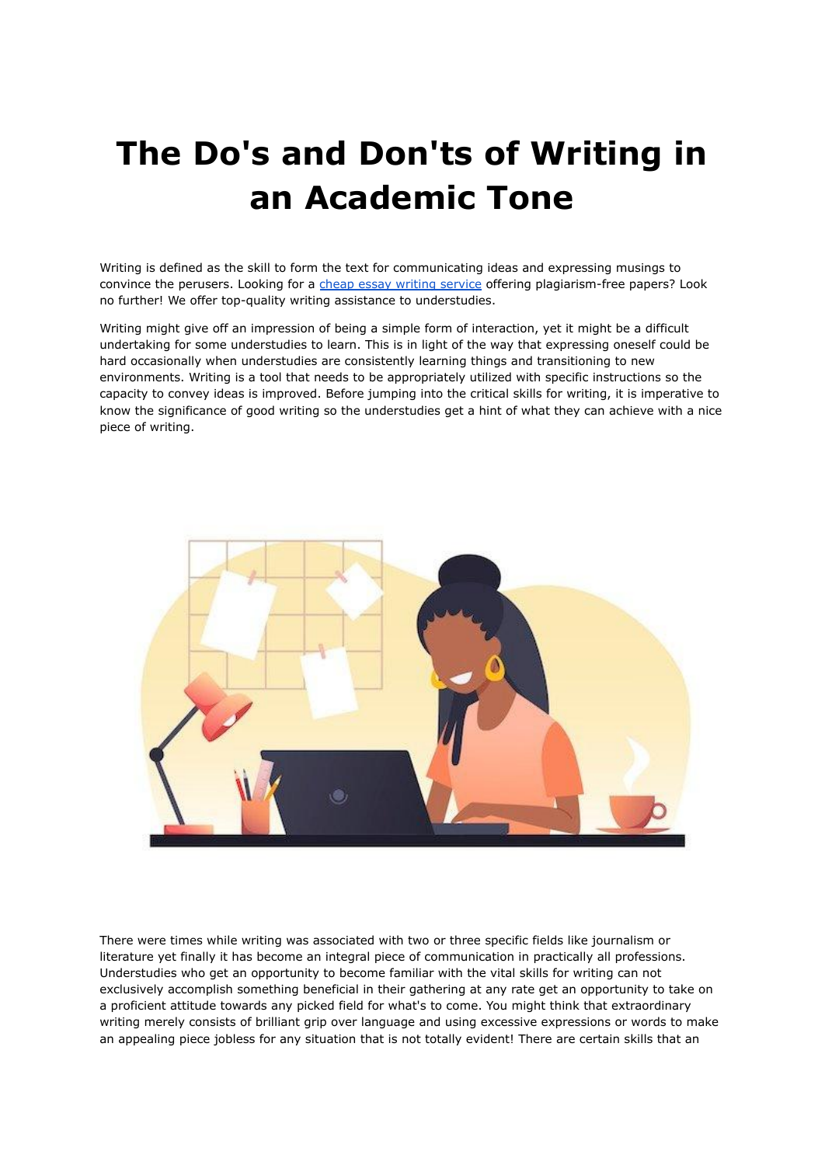## **The Do's and Don'ts of Writing in an Academic Tone**

Writing is defined as the skill to form the text for communicating ideas and expressing musings to convince the perusers. Looking for a cheap essay writing [service](https://essayhours.com/) offering plagiarism-free papers? Look no further! We offer top-quality writing assistance to understudies.

Writing might give off an impression of being a simple form of interaction, yet it might be a difficult undertaking for some understudies to learn. This is in light of the way that expressing oneself could be hard occasionally when understudies are consistently learning things and transitioning to new environments. Writing is a tool that needs to be appropriately utilized with specific instructions so the capacity to convey ideas is improved. Before jumping into the critical skills for writing, it is imperative to know the significance of good writing so the understudies get a hint of what they can achieve with a nice piece of writing.



There were times while writing was associated with two or three specific fields like journalism or literature yet finally it has become an integral piece of communication in practically all professions. Understudies who get an opportunity to become familiar with the vital skills for writing can not exclusively accomplish something beneficial in their gathering at any rate get an opportunity to take on a proficient attitude towards any picked field for what's to come. You might think that extraordinary writing merely consists of brilliant grip over language and using excessive expressions or words to make an appealing piece jobless for any situation that is not totally evident! There are certain skills that an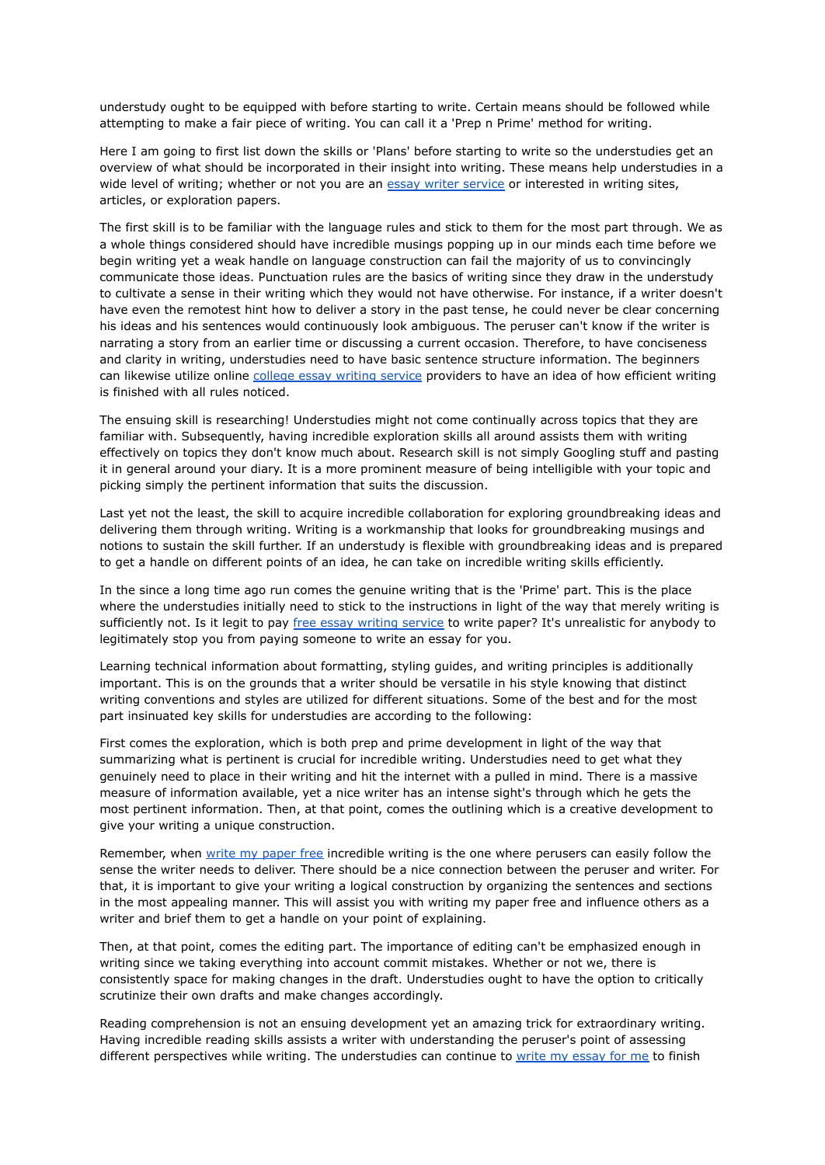understudy ought to be equipped with before starting to write. Certain means should be followed while attempting to make a fair piece of writing. You can call it a 'Prep n Prime' method for writing.

Here I am going to first list down the skills or 'Plans' before starting to write so the understudies get an overview of what should be incorporated in their insight into writing. These means help understudies in a wide level of writing; whether or not you are an essay writer [service](https://essayhours.com/) or interested in writing sites, articles, or exploration papers.

The first skill is to be familiar with the language rules and stick to them for the most part through. We as a whole things considered should have incredible musings popping up in our minds each time before we begin writing yet a weak handle on language construction can fail the majority of us to convincingly communicate those ideas. Punctuation rules are the basics of writing since they draw in the understudy to cultivate a sense in their writing which they would not have otherwise. For instance, if a writer doesn't have even the remotest hint how to deliver a story in the past tense, he could never be clear concerning his ideas and his sentences would continuously look ambiguous. The peruser can't know if the writer is narrating a story from an earlier time or discussing a current occasion. Therefore, to have conciseness and clarity in writing, understudies need to have basic sentence structure information. The beginners can likewise utilize online college essay writing [service](https://www.essaywriter.college/) providers to have an idea of how efficient writing is finished with all rules noticed.

The ensuing skill is researching! Understudies might not come continually across topics that they are familiar with. Subsequently, having incredible exploration skills all around assists them with writing effectively on topics they don't know much about. Research skill is not simply Googling stuff and pasting it in general around your diary. It is a more prominent measure of being intelligible with your topic and picking simply the pertinent information that suits the discussion.

Last yet not the least, the skill to acquire incredible collaboration for exploring groundbreaking ideas and delivering them through writing. Writing is a workmanship that looks for groundbreaking musings and notions to sustain the skill further. If an understudy is flexible with groundbreaking ideas and is prepared to get a handle on different points of an idea, he can take on incredible writing skills efficiently.

In the since a long time ago run comes the genuine writing that is the 'Prime' part. This is the place where the understudies initially need to stick to the instructions in light of the way that merely writing is sufficiently not. Is it legit to pay free essay writing [service](https://www.essaywriter.college/) to write paper? It's unrealistic for anybody to legitimately stop you from paying someone to write an essay for you.

Learning technical information about formatting, styling guides, and writing principles is additionally important. This is on the grounds that a writer should be versatile in his style knowing that distinct writing conventions and styles are utilized for different situations. Some of the best and for the most part insinuated key skills for understudies are according to the following:

First comes the exploration, which is both prep and prime development in light of the way that summarizing what is pertinent is crucial for incredible writing. Understudies need to get what they genuinely need to place in their writing and hit the internet with a pulled in mind. There is a massive measure of information available, yet a nice writer has an intense sight's through which he gets the most pertinent information. Then, at that point, comes the outlining which is a creative development to give your writing a unique construction.

Remember, when write my [paper](https://essayhours.com/) free incredible writing is the one where perusers can easily follow the sense the writer needs to deliver. There should be a nice connection between the peruser and writer. For that, it is important to give your writing a logical construction by organizing the sentences and sections in the most appealing manner. This will assist you with writing my paper free and influence others as a writer and brief them to get a handle on your point of explaining.

Then, at that point, comes the editing part. The importance of editing can't be emphasized enough in writing since we taking everything into account commit mistakes. Whether or not we, there is consistently space for making changes in the draft. Understudies ought to have the option to critically scrutinize their own drafts and make changes accordingly.

Reading comprehension is not an ensuing development yet an amazing trick for extraordinary writing. Having incredible reading skills assists a writer with understanding the peruser's point of assessing different perspectives while writing. The understudies can continue to write my [essay](https://www.myperfectwords.com/) for me to finish